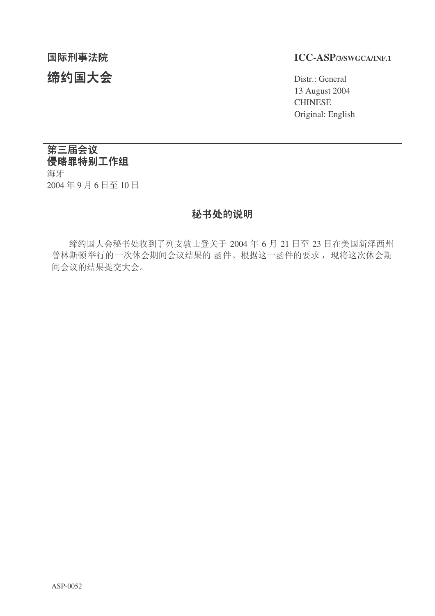# 结约国大会 **The Contract of Second Act of Second** Distr.: General

## 䰙ߥџ⊩䰶 **ICC-ASP/3/SWGCA/INF.1**

13 August 2004 **CHINESE** Original: English

## 第三届会议 侵略罪特别工作组

海牙 2004年9月6日至10日

## 秘书处的说明

缔约国大会秘书处收到了列支敦士登关于 2004 年 6 月 21 日至 23 日在美国新泽西州 普林斯顿举行的一次休会期间会议结果的 函件。根据这一函件的要求, 现将这次休会期 间会议的结果提交大会。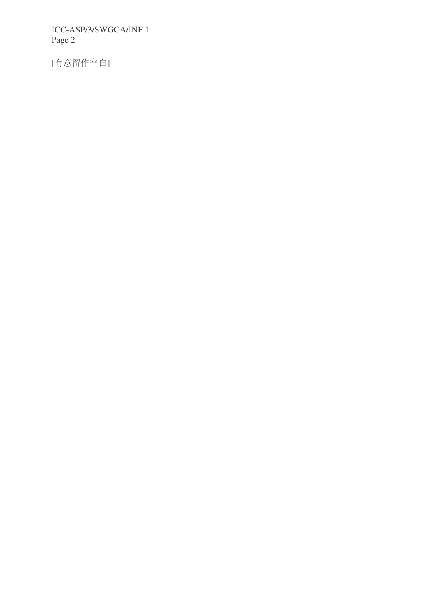[有意留作空白]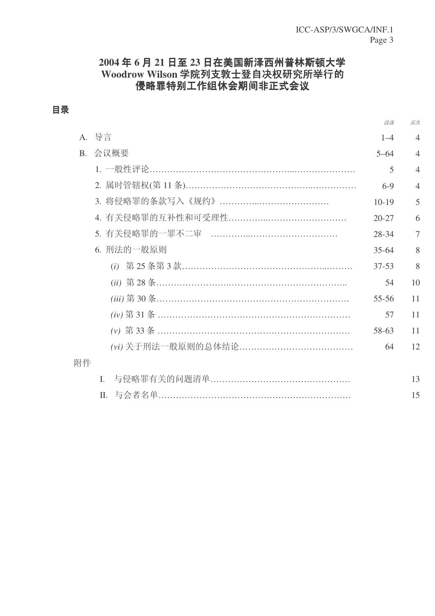## 2004年6月21日至23日在美国新泽西州普林斯顿大学 **Woodrow Wilson 学院列支敦士登自决权研究所举行的** 侵略罪特别工作组休会期间非正式会议

## 目录

|    |            | 段落        | 页次             |
|----|------------|-----------|----------------|
|    | A. 导言      | $1 - 4$   | $\overline{4}$ |
|    | B. 会议概要    | $5 - 64$  | $\overline{4}$ |
|    |            | 5         | $\overline{4}$ |
|    |            | $6-9$     | $\overline{4}$ |
|    |            | $10-19$   | 5              |
|    |            | $20 - 27$ | 6              |
|    |            | 28-34     | 7              |
|    | 6. 刑法的一般原则 | $35 - 64$ | 8              |
|    |            | $37 - 53$ | 8              |
|    |            | 54        | 10             |
|    |            | 55-56     | 11             |
|    |            | 57        | 11             |
|    |            | 58-63     | 11             |
|    |            | 64        | 12             |
| 附件 |            |           |                |
|    | L.         |           | 13             |
|    |            |           | 15             |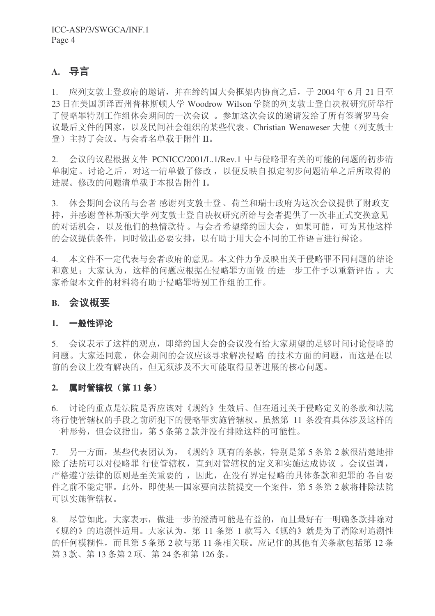## A. 导言

1. 应列支敦士登政府的邀请,并在缔约国大会框架内协商之后,于2004年6月21日至 23 日在美国新泽西州普林斯顿大学 Woodrow Wilson 学院的列支敦士登自决权研究所举行 了侵略罪特别工作组休会期间的一次会议。参加这次会议的邀请发给了所有签署罗马会 议最后文件的国家, 以及民间社会组织的某些代表。Christian Wenaweser 大使(列支敦士 登) 主持了会议。与会者名单载于附件 II。

2. 会议的议程根据文件 PCNICC/2001/L.1/Rev.1 中与侵略罪有关的可能的问题的初步清 单制定。讨论之后,对这一清单做了修改,以便反映自拟定初步问题清单之后所取得的 讲展。修改的问题清单载于本报告附件 I。

3. 休会期间会议的与会者感谢列支敦士登、荷兰和瑞士政府为这次会议提供了财政支 持,并感谢普林斯顿大学列支敦士登自决权研究所给与会者提供了一次非正式交换意见 的对话机会, 以及他们的热情款待。与会者希望缔约国大会, 如果可能, 可为其他这样 的会议提供条件, 同时做出必要安排, 以有助于用大会不同的工作语言讲行辩论。

4. 本文件不一定代表与会者政府的意见。本文件力争反映出关于侵略罪不同问题的结论 和意见: 大家认为, 这样的问题应根据在侵略罪方面做 的讲一步工作予以重新评估。大 家希望本文件的材料将有助于侵略罪特别工作组的工作。

## **B.** 会议概要

### 1. 一般性评论

5. 会议表示了这样的观点, 即缔约国大会的会议没有给大家期望的足够时间讨论侵略的 问题。大家还同意, 休会期间的会议应该寻求解决侵略 的技术方面的问题, 而这是在以 前的会议上没有解决的, 但无须涉及不大可能取得显著进展的核心问题。

### 2. 属时管辖权 (第11条)

6. 讨论的重点是法院是否应该对《规约》生效后、但在通过关于侵略定义的条款和法院 将行使管辖权的手段之前所犯下的侵略罪实施管辖权。虽然第 11 条没有具体涉及这样的 一种形势,但会议指出,第5条第2款并没有排除这样的可能性。

7. 另一方面,某些代表团认为,《规约》现有的条款,特别是第5条第2款很清楚地排 除了法院可以对侵略罪 行使管辖权, 直到对管辖权的定义和实施达成协议。会议强调, 严格遵守法律的原则是至关重要的, 因此, 在没有界定侵略的具体条款和犯罪的 各自要 件之前不能定罪。此外,即使某一国家要向法院提交一个案件, 第5条第2款将排除法院 可以实施管辖权。

8. 尽管如此,大家表示,做进一步的澄清可能是有益的,而且最好有一明确条款排除对 《规约》的追溯性适用。大家认为, 第 11 条第 1 款写入《规约》就是为了消除对追溯性 的任何模糊性,而且第5条第2款与第11条相关联。应记住的其他有关条款包括第12条 第3款、第13条第2项、第24条和第126条。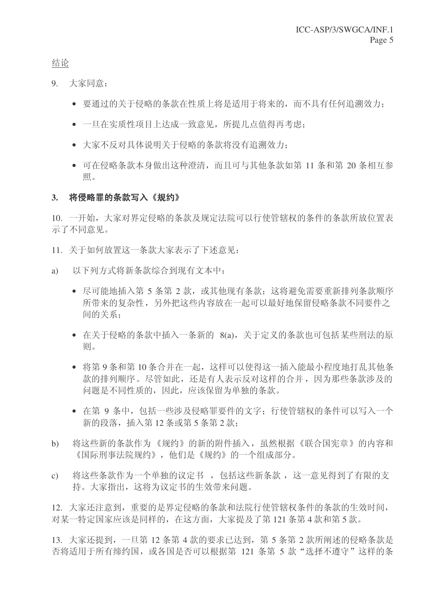结论

- 9. 大家同意:
	- 要通过的关于侵略的条款在性质上将是适用于将来的,而不具有任何追溯效力:
	- 一旦在实质性项目上达成一致意见, 所提几点值得再考虑:
	- 大家不反对具体说明关于侵略的条款将没有追溯效力;
	- 可在侵略条款本身做出这种澄清, 而且可与其他条款如第 11 条和第 20 条相互参 照。

#### 3. 将侵略罪的条款写入《规约》

10. 一开始,大家对界定侵略的条款及规定法院可以行使管辖权的条件的条款所放位置表 示了不同意见。

- 11. 关于如何放置这一条款大家表示了下述意见:
- a) 以下列方式将新条款综合到现有文本中:
	- 尽可能地插入第5 条第2款, 或其他现有条款: 这将避免需要重新排列条款顺序 所带来的复杂性, 另外把这些内容放在一起可以最好地保留侵略条款不同要件之 间的关系;
	- 在关于侵略的条款中插入一条新的 8(a),关于定义的条款也可包括某些刑法的原 则。
	- 将第9条和第10条合并在一起, 这样可以使得这一插入能最小程度地打乱其他条 款的排列顺序。尽管如此, 还是有人表示反对这样的合并, 因为那些条款涉及的 问题是不同性质的,因此,应该保留为单独的条款。
	- 在第9条中, 包括一些涉及侵略罪要件的文字; 行使管辖权的条件可以写入一个 新的段落, 插入第12条或第5条第2款:
- b) 将这些新的条款作为《规约》的新的附件插入, 虽然根据《联合国宪章》的内容和 《国际刑事法院规约》,他们是《规约》的一个组成部分。
- c) 将这些条款作为一个单独的议定书, 包括这些新条款, 这一意见得到了有限的支 持。大家指出,这将为议定书的生效带来问题。

12. 大家还注意到, 重要的是界定侵略的条款和法院行使管辖权条件的条款的生效时间, 对某一特定国家应该是同样的,在这方面,大家提及了第121 条第 4 款和第 5 款。

13. 大家还提到, 一旦第12 条第 4 款的要求已达到, 第 5 条第 2 款所阐述的侵略条款是 否将适用于所有缔约国, 或各国是否可以根据第 121 条第 5 款"选择不遵守"这样的条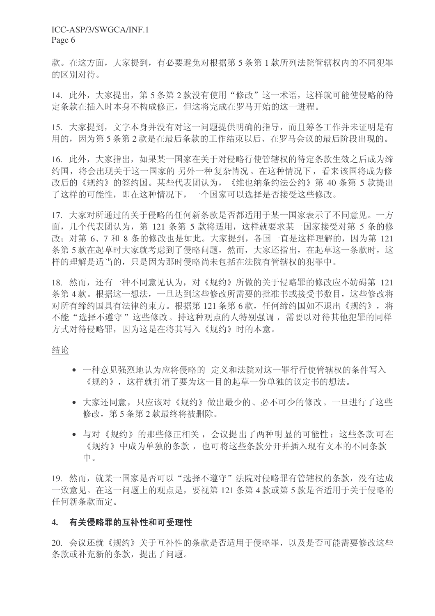款。在这方面,大家提到,有必要避免对根据第5条第1款所列法院管辖权内的不同犯罪 的区别对待。

14. 此外, 大家提出, 第5条第2款没有使用"修改"这一术语, 这样就可能使侵略的待 定条款在插入时本身不构成修正, 但这将完成在罗马开始的这一讲程。

15. 大家提到,文字本身并没有对这一问题提供明确的指导,而且筹备工作并未证明是有 用的,因为第5条第2款是在最后条款的工作结束以后、在罗马会议的最后阶段出现的。

16. 此外,大家指出,如果某一国家在关于对侵略行使管辖权的待定条款生效之后成为缔 约国, 将会出现关于这一国家的 另外一种复杂情况。在这种情况下, 看来该国将成为修 改后的《规约》的签约国。某些代表团认为, 《维也纳条约法公约》第40 条第 5 款提出 了这样的可能性, 即在这种情况下, 一个国家可以选择是否接受这些修改。

17. 大家对所通过的关于侵略的任何新条款是否都适用于某一国家表示了不同意见。一方 面, 几个代表团认为, 第 121 条第 5 款将适用, 这样就要求某一国家接受对第 5 条的修 改: 对第 6、7 和 8 条的修改也是如此。大家提到, 各国一直是这样理解的, 因为第 121 条第5款在起草时大家就考虑到了侵略问题,然而,大家还指出,在起草这一条款时,这 样的理解是适当的,只是因为那时侵略尚未包括在法院有管辖权的犯罪中。

18. 然而,还有一种不同意见认为,对《规约》所做的关于侵略罪的修改应不妨碍第 121 条第4款。根据这一想法,一旦达到这些修改所需要的批准书或接受书数目,这些修改将 对所有缔约国具有法律约束力。根据第121 条第6款, 任何缔约国如不退出《规约》, 将 不能"选择不遵守"这些修改。持这种观点的人特别强调,需要以对待其他犯罪的同样 方式对待侵略罪,因为这是在将其写入《规约》时的本意。

#### 结论

- 一种意见强烈地认为应将侵略的 定义和法院对这一罪行行使管辖权的条件写入 《规约》,这样就打消了要为这一目的起草一份单独的议定书的想法。
- 大家还同意, 只应该对《规约》做出最少的、必不可少的修改。一旦进行了这些 修改, 第5条第2款最终将被删除。
- 与对《规约》的那些修正相关, 会议提出了两种明显的可能性: 这些条款可在 《规约》中成为单独的条款, 也可将这些条款分开并插入现有文本的不同条款 中。

19. 然而, 就某一国家是否可以"选择不遵守"法院对侵略罪有管辖权的条款, 没有达成 一致意见。在这一问题上的观点是,要视第121条第4款或第5款是否适用于关于侵略的 任何新条款而定。

#### 4. 有关侵略罪的互补性和可受理性

20. 会议还就《规约》关于互补性的条款是否适用于侵略罪,以及是否可能需要修改这些 条款或补充新的条款, 提出了问题。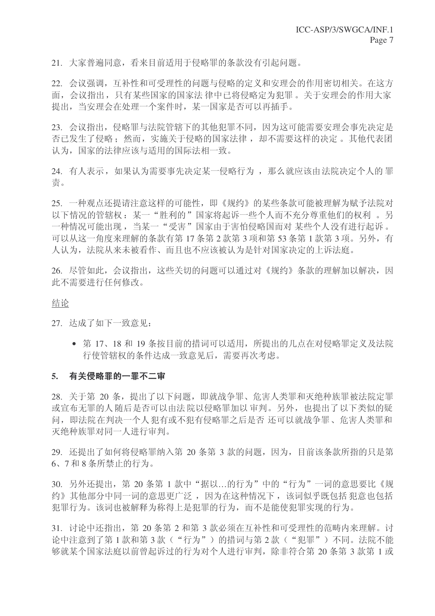21. 大家普遍同意, 看来目前话用于侵略罪的条款没有引起问题。

22. 会议强调, 互补性和可受理性的问题与侵略的定义和安理会的作用密切相关。在这方 面, 会议指出, 只有某些国家的国家法 律中已将侵略定为犯罪。关于安理会的作用大家 提出, 当安理会在处理一个案件时, 某一国家是否可以再插手。

23. 会议指出, 侵略罪与法院管辖下的其他犯罪不同, 因为这可能需要安理会事先决定是 否已发生了侵略;然而,实施关于侵略的国家法律,却不需要这样的决定。其他代表团 认为, 国家的法律应该与适用的国际法相一致。

24. 有人表示, 如果认为需要事先决定某一侵略行为, 那么就应该由法院决定个人的罪 责。

25. 一种观点还提请注意这样的可能性, 即《规约》的某些条款可能被理解为赋予法院对 以下情况的管辖权: 某一"胜利的"国家将起诉一些个人而不充分尊重他们的权利。另 一种情况可能出现, 当某一"受害"国家由于害怕侵略国而对 某些个人没有进行起诉。 可以从这一角度来理解的条款有第17条第2款第3项和第53条第1款第3项。另外,有 人认为, 法院从来未被看作、而且也不应该被认为是针对国家决定的上诉法庭。

26. 尽管如此, 会议指出, 这些关切的问题可以通过对《规约》条款的理解加以解决, 因 此不需要讲行任何修改。

#### 结论

27. 达成了如下一致意见:

• 第 17、18 和 19 条按目前的措词可以适用, 所提出的几点在对侵略罪定义及法院 行使管辖权的条件达成一致意见后,需要再次考虑。

#### 5. 有关侵略罪的一罪不二审

28. 关于第 20 条, 提出了以下问题, 即就战争罪、危害人类罪和灭绝种族罪被法院定罪 或宣布无罪的人 随后是否可以由法 院以侵略罪加以 审判。另外,也提出了以下类似的疑 问, 即法院在判决一个人犯有或不犯有侵略罪之后是否 还可以就战争罪、危害人类罪和 灭绝种族罪对同一人讲行审判。

29. 还提出了如何将侵略罪纳入第 20 条第 3 款的问题, 因为, 目前该条款所指的只是第 6、7和8条所禁止的行为。

30. 另外还提出, 第 20 条第 1 款中"据以…的行为"中的"行为"一词的意思要比《规 约》其他部分中同一词的意思更广泛,因为在这种情况下,该词似乎既包括犯意也包括 犯罪行为。该词也被解释为称得上是犯罪的行为,而不是能使犯罪实现的行为。

31. 讨论中还指出, 第20 条第 2 和第 3 款必须在互补性和可受理性的范畴内来理解。讨 论中注意到了第1款和第3款("行为")的措词与第2款("犯罪")不同。法院不能 够就某个国家法庭以前曾起诉过的行为对个人进行审判, 除非符合第20 条第3款第1或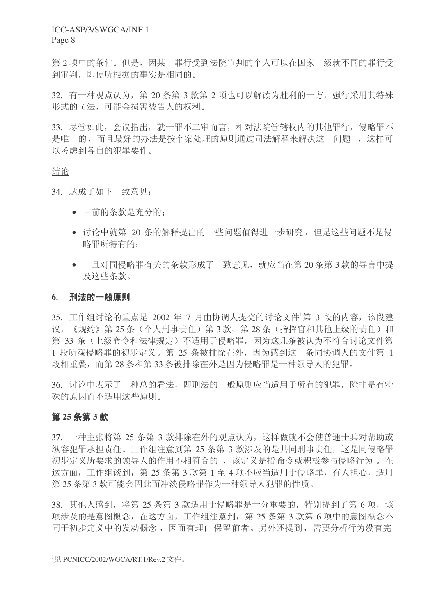第2项中的条件。但是,因某一罪行受到法院审判的个人可以在国家一级就不同的罪行受 到审判, 即使所根据的事实是相同的。

32. 有一种观点认为, 第20 条第 3 款第 2 项也可以解读为胜利的一方, 强行采用其特殊 形式的司法,可能会损害被告人的权利。

33. 尽管如此, 会议指出, 就一罪不二审而言, 相对法院管辖权内的其他罪行, 侵略罪不 是唯一的,而且最好的办法是按个案处理的原则通过司法解释来解决这一问题,这样可 以考虑到各自的犯罪要件。

## 结论

34. 达成了如下一致意见:

- 目前的条款是充分的:
- 讨论中就第 20 条的解释提出的一些问题值得进一步研究, 但是这些问题不是侵 略罪所特有的:
- 一旦对同侵略罪有关的条款形成了一致意见, 就应当在第20条第3款的导言中提 及这些条款。

#### 6. 刑法的一般原则

35. 工作组讨论的重点是 2002 年 7 月由协调人提交的讨论文件<sup>1</sup>第 3 段的内容, 该段建 议,《规约》第25条(个人刑事责任)第3款、第28条(指挥官和其他上级的责任)和 第 33 条 (上级命令和法律规定) 不适用于侵略罪, 因为这几条被认为不符合讨论文件第 1 段所载侵略罪的初步定义。第 25 条被排除在外,因为感到这一条同协调人的文件第 1 段相重叠,而第28条和第33条被排除在外是因为侵略罪是一种领导人的犯罪。

36. 讨论中表示了一种总的看法, 即刑法的一般原则应当适用于所有的犯罪, 除非是有特 殊的原因而不适用这些原则。

#### 第 25 条第 3 款

37. 一种主张将第 25 条第 3 款排除在外的观点认为, 这样做就不会使普通十兵对帮助或 纵容犯罪承担责任。工作组注意到第25 条第3款涉及的是共同刑事责任,这是同侵略罪 初步定义所要求的领导人的作用不相符合的, 该定义是指命令或积极参与侵略行为。在 这方面,工作组谈到,第25 条第3款第1至4项不应当适用于侵略罪,有人担心,适用 第25条第3款可能会因此而冲淡侵略罪作为一种领导人犯罪的性质。

38. 其他人感到, 将第 25 条第 3 款适用于侵略罪是十分重要的, 特别提到了第 6 项, 该 项涉及的是意图概念, 在这方面, 工作组注意到, 第 25 条第 3 款第 6 项中的意图概念不 同于初步定义中的发动概念, 因而有理由保留前者。另外还提到, 需要分析行为没有完

 $^{1}$ 见 PCNICC/2002/WGCA/RT.1/Rev.2 文件。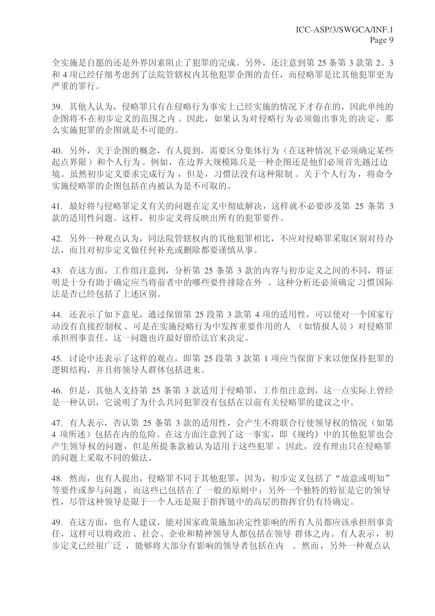全实施是自愿的还是外界因素阻止了犯罪的完成。另外, 还注意到第25条第3款第2、3 和 4 项已经仔细考虑到了法院管辖权内其他犯罪企图的责任, 而侵略罪是比其他犯罪更为 严重的罪行。

39. 其他人认为, 侵略罪只有在侵略行为事实上已经实施的情况下才存在的, 因此单纯的 企图将不在初步定义的范围之内。因此,如果认为对侵略行为必须做出事先的决定,那 么实施犯罪的企图就是不可能的。

40. 另外,关于企图的概念,有人提到,需要区分集体行为(在这种情况下必须确定某些 起点界限)和个人行为。例如,在边界大规模陈兵是一种企图还是他们必须首先越过边 境。虽然初步定义要求完成行为, 但是, 习惯法没有这种限制。关于个人行为, 将命令 实施侵略罪的企图包括在内被认为是不可取的。

41. 最好将与侵略罪定义有关的问题在定义中彻底解决, 这样就不必要涉及第 25 条第 3 款的适用性问题。这样,初步定义将反映出所有的犯罪要件。

42. 另外一种观点认为,同法院管辖权内的其他犯罪相比,不应对侵略罪采取区别对待办 法,而且对初步定义做任何补充或删除都要谨慎从事。

43. 在这方面, 工作组注意到, 分析第 25 条第 3 款的内容与初步定义之间的不同, 将证 明是十分有助于确定应当将前者中的哪些要件排除在外。这种分析还必须确定 习惯国际 法是否已经包括了上述区别。

44. 还表示了如下意见,通过保留第 25 段第 3 款第 4 项的适用性,可以使对一个国家行 动没有直接控制权、可是在实施侵略行为中发挥重要作用的人 (如情报人员)对侵略罪 承担刑事责任。这一问题也许最好留给法官来决定。

45. 讨论中还表示了这样的观点, 即第 25 段第 3 款第 1 项应当保留下来以便保持犯罪的 逻辑结构,并且将领导人群体包括进来。

46. 但是, 其他人支持第 25 条第 3 款适用于侵略罪, 工作组注意到, 这一点实际上曾经 是一种认识,它说明了为什么共同犯罪没有包括在以前有关侵略罪的建议之中。

47. 有人表示, 否认第 25 条第 3 款的适用性, 会产生不将联合行使领导权的情况(如第 4 项所述) 包括在内的危险。在这方面注意到了这一事实, 即《规约》中的其他犯罪也会 产生领导权的问题, 但是所提条款被认为适用于这些犯罪, 因此, 没有理由只在侵略罪 的问题上采取不同的做法。

48. 然而, 也有人提出, 侵略罪不同于其他犯罪, 因为, 初步定义包括了"故意或明知" 等要件或参与问题,而这些已包括在了一般的原则中;另外一个独特的特征是它的领导 性, 尽管这种领导是限于一个人还是限于指挥链中的高层的指挥官仍有待确定。

49. 在这方面, 也有人建议, 能对国家政策施加决定性影响的所有人员都应该承担刑事责 任, 这样可以将政治、社会、企业和精神领导人都包括在领导 群体之内。有人表示, 初 步定义已经很广泛,能够将大部分有影响的领导者包括在内。然而,另外一种观点认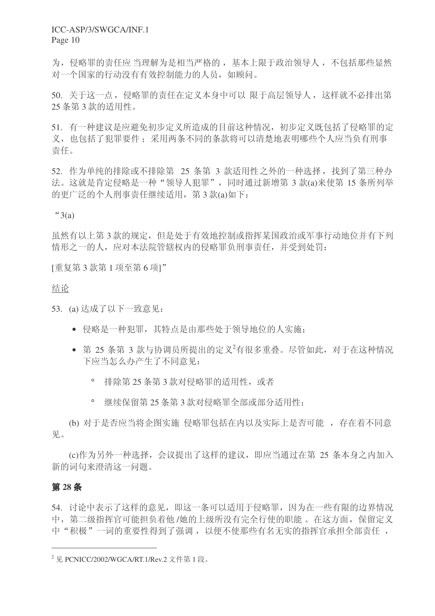为, 侵略罪的责任应 当理解为是相当严格的, 基本上限于政治领导人, 不包括那些显然 对一个国家的行动没有有效控制能力的人员,如顾问。

50. 关于这一点, 侵略罪的责任在定义本身中可以 限于高层领导人, 这样就不必排出第 25 条第 3 款的话用性。

51. 有一种建议是应避免初步定义所造成的目前这种情况,初步定义既包括了侵略罪的定 义, 也包括了犯罪要件; 采用两条不同的条款将可以清楚地表明哪些个人应当负有刑事 责任。

52. 作为单纯的排除或不排除第 25 条第 3 款适用性之外的一种选择, 找到了第三种办 法。这就是肯定侵略是一种"领导人犯罪",同时通过新增第 3 款(a)来使第 15 条所列举 的更广泛的个人刑事责任继续适用, 第3款(a)如下:

 $43(a)$ 

虽然有以上第3款的规定,但是处于有效地控制或指挥某国政治或军事行动地位并有下列 情形之一的人, 应对本法院管辖权内的侵略罪负刑事责任, 并受到处罚:

[重复第3款第1项至第6项]"

#### 结论

53. (a) 达成了以下一致意见:

- 侵略是一种犯罪, 其特点是由那些处于领导地位的人实施;
- 第 25 条第 3 款与协调员所提出的定义<sup>2</sup>有很多重叠。尽管如此, 对于在这种情况 下应当怎么办产生了不同意见:
	- ◎ 排除第 25 条第 3 款对侵略罪的活用性, 或者
	- <sup>。</sup> 继续保留第 25 条第 3 款对侵略罪全部或部分适用性:

(b) 对于是否应当将企图实施 侵略罪包括在内以及实际上是否可能, 存在着不同意 见。

(c)作为另外一种选择, 会议提出了这样的建议, 即应当通过在第 25 条本身之内加入 新的词句来澄清这一问题。

### **28** ᴵ

54. 讨论中表示了这样的意见, 即这一条可以适用于侵略罪, 因为在一些有限的边界情况 中, 第二级指挥官可能担负着他/她的上级所没有完全行使的职能。在这方面, 保留定义 中"积极"一词的重要性得到了强调,以便不使那些有名无实的指挥官承担全部责任,

 $2 \nabla$  PCNICC/2002/WGCA/RT.1/Rev.2 文件第1段。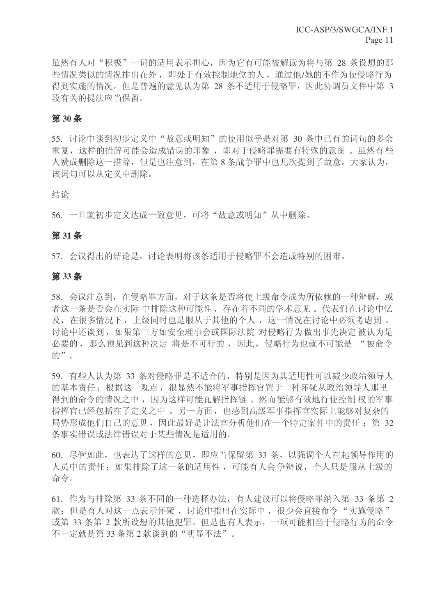虽然有人对"积极"一词的话用表示担心,因为它有可能被解读为将与第 28 条设想的那 些情况类似的情况排出在外, 即处于有效控制地位的人, 通过他/她的不作为使侵略行为 得到实施的情况。但是普遍的意见认为第 28 条不适用于侵略罪,因此协调员文件中第 3 段有关的提法应当保留。

## 第30条

55. 讨论中谈到初步定义中"故意或明知"的使用似乎是对第 30 条中已有的词句的多余 重复, 这样的措辞可能会造成错误的印象, 即对于侵略罪需要有特殊的意图。虽然有些 人赞成删除这一措辞,但是也注意到,在第8条战争罪中也几次提到了故意。大家认为, 该词句可以从定义中删除。

#### 结论

56. 一旦就初步定义达成一致意见,可将"故意或明知"从中删除。

### **31** ᴵ

57. 会议得出的结论是, 讨论表明将该条适用于侵略罪不会造成特别的困难。

### **33** ᴵ

58. 会议注意到, 在侵略罪方面, 对于这条是否将使上级命令成为所依赖的一种辩解, 或 者这一条是否会在实际 中排除这种可能性, 存在着不同的学术意见。代表们在讨论中忆 及, 在很多情况下, 上级同时也是服从于其他的个人, 这一情况在讨论中必须考虑到。 讨论中还谈到, 如果第三方如安全理事会或国际法院 对侵略行为做出事先决定被认为是 必要的, 那么预见到这种决定 将是不可行的, 因此, 侵略行为也就不可能是 "被命令 的"。

59. 有些人认为第 33 条对侵略罪是不适合的, 特别是因为其适用性可以减少政治领导人 的基本责任;根据这一观点,很显然不能将军事指挥官置于一种怀疑从政治领导人那里 得到的命令的情况之中,因为这样可能瓦解指挥链。然而能够有效地行使控制权的军事 指挥官已经包括在了定义之中。另一方面,也感到高级军事指挥官实际上能够对复杂的 局势形成他们自己的意见,因此最好是让法官分析他们在一个特定案件中的责任: 第 32 条事实错误或法律错误对于某些情况是适用的。

60. 尽管如此, 也表达了这样的意见, 即应当保留第 33 条, 以强调个人在起领导作用的 人员中的责任; 如果排除了这一条的适用性, 可能有人会争辩说, 个人只是服从上级的 命令。

61. 作为与排除第 33 条不同的一种选择办法,有人建议可以将侵略罪纳入第 33 条第 2 款: 但是有人对这一点表示怀疑, 讨论中指出在实际中, 很少会直接命令"实施侵略" 或第 33 条第 2 款所设想的其他犯罪。但是也有人表示, 一项可能相当于侵略行为的命令 不一定就是第33条第2款谈到的"明显不法"。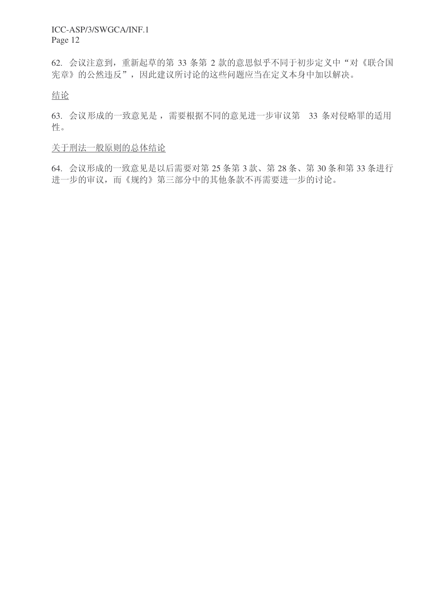62. 会议注意到, 重新起草的第 33 条第 2 款的意思似乎不同于初步定义中"对《联合国 宪章》的公然违反",因此建议所讨论的这些问题应当在定义本身中加以解决。

结论

63. 会议形成的一致意见是, 需要根据不同的意见进一步审议第 33 条对侵略罪的适用 性。

关于刑法一般原则的总体结论

64. 会议形成的一致意见是以后需要对第 25 条第 3 款、第 28 条、第 30 条和第 33 条进行 进一步的审议,而《规约》第三部分中的其他条款不再需要进一步的讨论。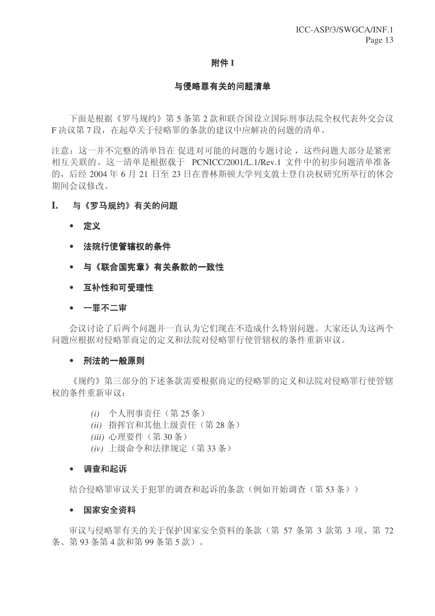#### 附件 I

#### 与侵略罪有关的问题清单

下面是根据《罗马规约》第5条第2款和联合国设立国际刑事法院全权代表外交会议 F 决议第7段, 在起草关于侵略罪的条款的建议中应解决的问题的清单。

注意: 这一并不完整的清单旨在 促进对可能的问题的专题讨论, 这些问题大部分是紧密 相互关联的。这一清单是根据载于 PCNICC/2001/L.1/Rev.1 文件中的初步问题清单准备 的, 后经 2004年6月 21 日至 23 日在普林斯顿大学列支敦士登自决权研究所举行的休会 期间会议修改。

## I. 与《罗马规约》有关的问题

- 定义
- 法院行使管辖权的条件
- 与《联合国宪章》有关条款的一致性
- 互补性和可受理性

#### • 一罪不二审

会议讨论了后两个问题并一直认为它们现在不造成什么特别问题。大家还认为这两个 问题应根据对侵略罪商定的定义和法院对侵略罪行使管辖权的条件重新审议。

#### ● 刑法的一般原则

《规约》第三部分的下述条款需要根据商定的侵略罪的定义和法院对侵略罪行使管辖 权的条件重新审议:

- $(i)$  个人刑事责任 (第25条)
- *(ii)* 指挥官和其他上级责任(第28条)
- *(iii)* 心理要件 (第30条)
- (iv) 上级命令和法律规定 (第33条)

#### • 调查和起诉

结合侵略罪审议关于犯罪的调查和起诉的条款(例如开始调查(第53条))

#### • 国家安全资料

审议与侵略罪有关的关于保护国家安全资料的条款(第57条第3款第3项、第72 条、第93条第4款和第99条第5款)。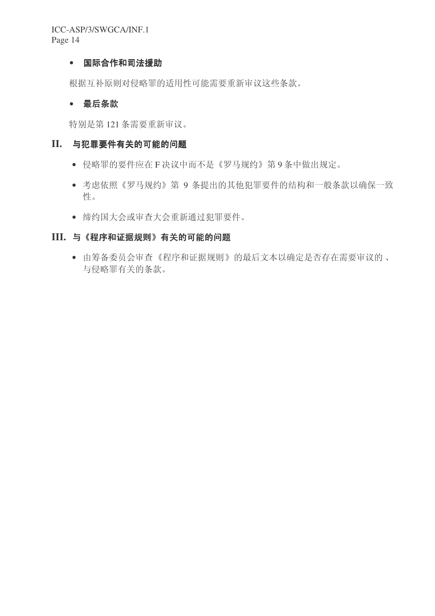## • 国际合作和司法援助

根据互补原则对侵略罪的适用性可能需要重新审议这些条款。

## • 最后条款

特别是第121 条需要重新审议。

## II. 与犯罪要件有关的可能的问题

- 侵略罪的要件应在F决议中而不是《罗马规约》第9条中做出规定。
- 考虑依照《罗马规约》第9条提出的其他犯罪要件的结构和一般条款以确保一致 性。
- 缔约国大会或审查大会重新通过犯罪要件。

## III. 与《程序和证据规则》有关的可能的问题

• 由筹备委员会审查《程序和证据规则》的最后文本以确定是否存在需要审议的、 与侵略罪有关的条款。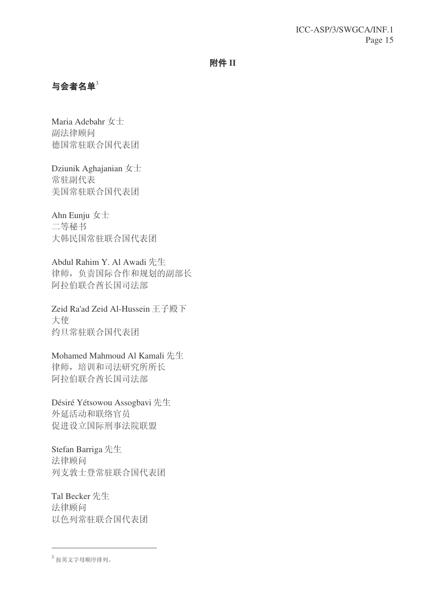### 附件 II

## $\frac{1}{2}$ 与会者名单

Maria Adebahr 女士 副法律顾问 德国常驻联合国代表团

Dziunik Aghajanian  $\pm \pm$ 常驻副代表 美国常驻联合国代表团

Ahn Eunju  $\pm \pm$ 二等秘书 大韩民国常驻联合国代表团

Abdul Rahim Y. Al Awadi 先生 律师,负责国际合作和规划的副部长 阿拉伯联合酋长国司法部

Zeid Ra'ad Zeid Al-Hussein 王子殿下 大使 约旦常驻联合国代表团

Mohamed Mahmoud Al Kamali 先生 律师,培训和司法研究所所长 阿拉伯联合酋长国司法部

Désiré Yétsowou Assogbavi 先生 外延活动和联络官员 促进设立国际刑事法院联盟

Stefan Barriga 先生 法律顾问 列支敦士登常驻联合国代表团

Tal Becker 先生 法律顾问 以色列常驻联合国代表团

 $3$  按英文字母顺序排列。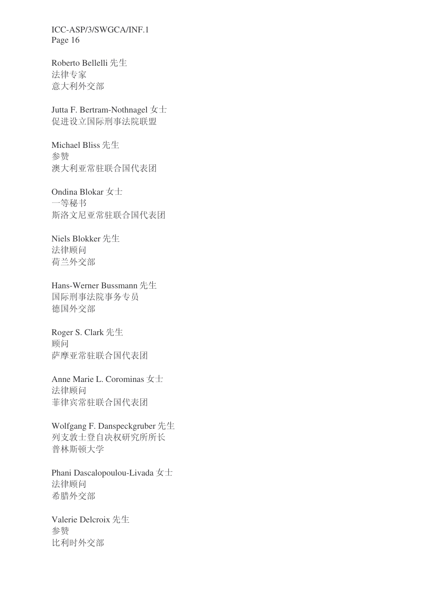Roberto Bellelli 先生 法律专家 意大利外交部

Jutta F. Bertram-Nothnagel  $\pm \pm$ 促进设立国际刑事法院联盟

Michael Bliss 先生 参赞 澳大利亚常驻联合国代表团

Ondina Blokar 女士 一等秘书 斯洛文尼亚常驻联合国代表团

Niels Blokker 先生 法律顾问 荷兰外交部

Hans-Werner Bussmann 先生 国际刑事法院事务专员 德国外交部

Roger S. Clark 先生 顾问 萨摩亚常驻联合国代表团

Anne Marie L. Corominas  $\pm \pm$ 法律顾问 菲律宾常驻联合国代表团

Wolfgang F. Danspeckgruber 先生 列支敦士登自决权研究所所长 普林斯顿大学

Phani Dascalopoulou-Livada 女士 法律顾问 希腊外交部

Valerie Delcroix 先生 参赞 比利时外交部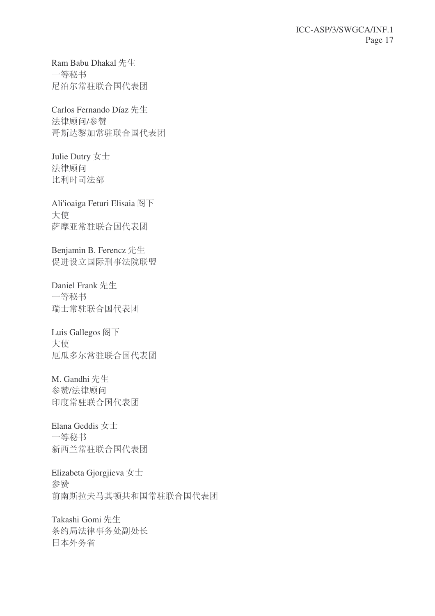Ram Babu Dhakal 先生 一等秘书 尼泊尔常驻联合国代表团

Carlos Fernando Díaz 先生 法律顾问/参赞 哥斯达黎加常驻联合国代表团

Julie Dutry 女士 法律顾问 比利时司法部

Ali'ioaiga Feturi Elisaia 阁下 大使 萨摩亚常驻联合国代表团

Benjamin B. Ferencz 先生 促进设立国际刑事法院联盟

Daniel Frank 先生 一等秘书 瑞士常驻联合国代表团

Luis Gallegos 阁下 大使 厄瓜多尔常驻联合国代表团

M. Gandhi 先生 参赞/法律顾问 印度常驻联合国代表团

Elana Geddis  $x \pm$ 一等秘书 新西兰常驻联合国代表团

Elizabeta Gjorgjieva 女士 参赞 前南斯拉夫马其顿共和国常驻联合国代表团

Takashi Gomi 先生 条约局法律事务处副处长 日本外务省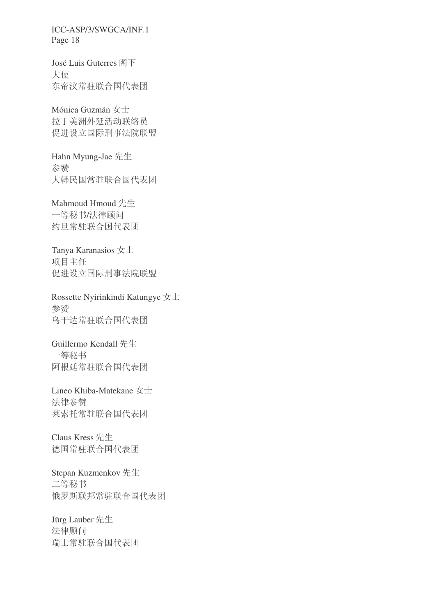José Luis Guterres 阁下 大使 东帝汶常驻联合国代表团

Mónica Guzmán 女士 拉丁美洲外延活动联络员 促进设立国际刑事法院联盟

Hahn Myung-Jae 先生 参赞 大韩民国常驻联合国代表团

Mahmoud Hmoud 先生 一等秘书/法律顾问 约旦常驻联合国代表团

Tanya Karanasios  $\pm \pm$ 项目主任 促进设立国际刑事法院联盟

Rossette Nyirinkindi Katungye  $\pm \pm$ 参赞 乌干达常驻联合国代表团

Guillermo Kendall 先生 一等秘书 阿根廷常驻联合国代表团

Lineo Khiba-Matekane 女士 法律参赞 莱索托常驻联合国代表团

Claus Kress 先生 德国常驻联合国代表团

Stepan Kuzmenkov 先生 二等秘书 俄罗斯联邦常驻联合国代表团

Jürg Lauber 先生 法律顾问 瑞士常驻联合国代表团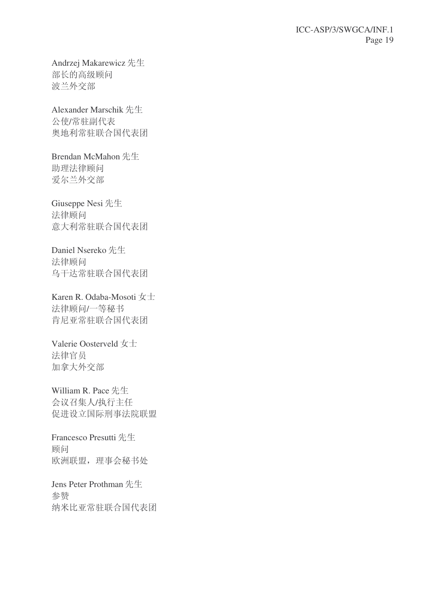Andrzej Makarewicz 先生 部长的高级顾问 波兰外交部

Alexander Marschik 先生 公使/常驻副代表 奥地利常驻联合国代表团

Brendan McMahon 先生 助理法律顾问 爱尔兰外交部

Giuseppe Nesi 先生 法律顾问 意大利常驻联合国代表团

Daniel Nsereko 先生 法律顾问 乌干达常驻联合国代表团

Karen R. Odaba-Mosoti 女士 法律顾问/一等秘书 肯尼亚常驻联合国代表团

Valerie Oosterveld 女士 法律官员 加拿大外交部

William R. Pace 先生 会议召集人/执行主任 促进设立国际刑事法院联盟

Francesco Presutti 先生 顾问 欧洲联盟,理事会秘书处

Jens Peter Prothman 先生 参赞 纳米比亚常驻联合国代表团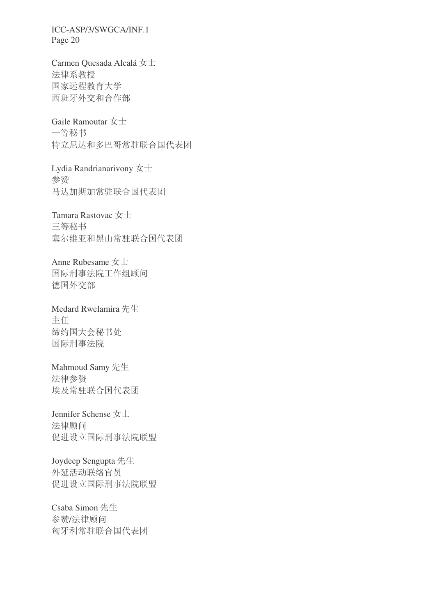Carmen Quesada Alcalá 女士 法律系教授 国家远程教育大学 西班牙外交和合作部

Gaile Ramoutar  $\pm \pm$ 一等秘书 特立尼达和多巴哥常驻联合国代表团

Lydia Randrianarivony  $\pm \pm$ 参赞 马达加斯加常驻联合国代表团

Tamara Rastovac 女士 三等秘书 塞尔维亚和黑山常驻联合国代表团

Anne Rubesame  $\pm \pm$ 国际刑事法院工作组顾问 德国外交部

Medard Rwelamira 先生 主任 缔约国大会秘书处 国际刑事法院

Mahmoud Samy 先生 法律参赞 埃及常驻联合国代表团

Jennifer Schense 女士 法律顾问 促进设立国际刑事法院联盟

Joydeep Sengupta 先生 外延活动联络官员 促进设立国际刑事法院联盟

Csaba Simon 先生 参赞/法律顾问 匈牙利常驻联合国代表团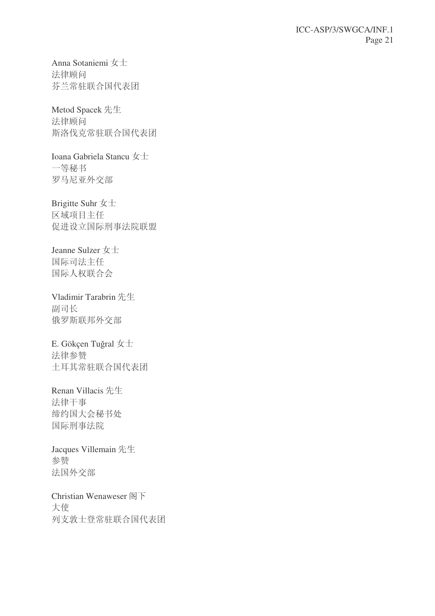Anna Sotaniemi 女士 法律顾问 芬兰常驻联合国代表团

Metod Spacek 先生 法律顾问 斯洛伐克常驻联合国代表团

Ioana Gabriela Stancu 女士 一等秘书 罗马尼亚外交部

Brigitte Suhr 女士 区域项目主任 促进设立国际刑事法院联盟

Jeanne Sulzer $\mbox{\boldmath $\not\!\in}\pm$ 国际司法主任 国际人权联合会

Vladimir Tarabrin 先生 副司长 俄罗斯联邦外交部

E. Gökçen Tuğral  $\pm \pm$ 法律参赞 土耳其常驻联合国代表团

Renan Villacis 先生 法律干事 缔约国大会秘书处 国际刑事法院

Jacques Villemain 先生 参赞 法国外交部

Christian Wenaweser 阁下 大使 列支敦士登常驻联合国代表团